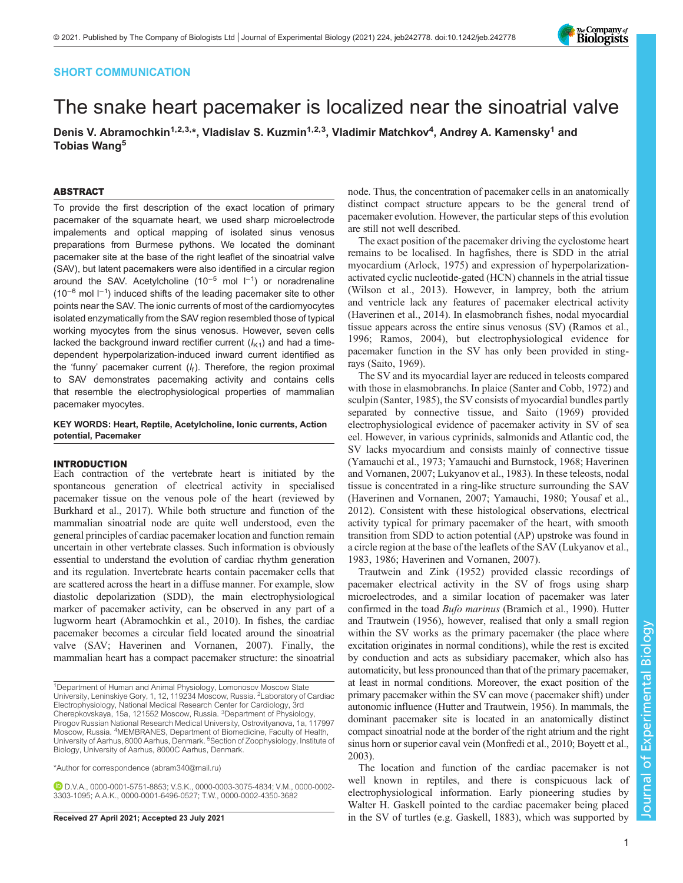# SHORT COMMUNICATION

# The snake heart pacemaker is localized near the sinoatrial valve

Denis V. Abramochkin<sup>1,2,3,</sup>\*, Vladislav S. Kuzmin<sup>1,2,3</sup>, Vladimir Matchkov<sup>4</sup>, Andrey A. Kamensky<sup>1</sup> and Tobias Wang<sup>5</sup>

# ABSTRACT

To provide the first description of the exact location of primary pacemaker of the squamate heart, we used sharp microelectrode impalements and optical mapping of isolated sinus venosus preparations from Burmese pythons. We located the dominant pacemaker site at the base of the right leaflet of the sinoatrial valve (SAV), but latent pacemakers were also identified in a circular region around the SAV. Acetylcholine (10<sup>-5</sup> mol l<sup>-1</sup>) or noradrenaline (10<sup>-6</sup> mol l<sup>-1</sup>) induced shifts of the leading pacemaker site to other points near the SAV. The ionic currents of most of the cardiomyocytes isolated enzymatically from the SAV region resembled those of typical working myocytes from the sinus venosus. However, seven cells lacked the background inward rectifier current  $(I_{K1})$  and had a timedependent hyperpolarization-induced inward current identified as the 'funny' pacemaker current  $(I_f)$ . Therefore, the region proximal to SAV demonstrates pacemaking activity and contains cells that resemble the electrophysiological properties of mammalian pacemaker myocytes.

KEY WORDS: Heart, Reptile, Acetylcholine, Ionic currents, Action potential, Pacemaker

#### INTRODUCTION

Each contraction of the vertebrate heart is initiated by the spontaneous generation of electrical activity in specialised pacemaker tissue on the venous pole of the heart (reviewed by [Burkhard et al., 2017\)](#page-5-0). While both structure and function of the mammalian sinoatrial node are quite well understood, even the general principles of cardiac pacemaker location and function remain uncertain in other vertebrate classes. Such information is obviously essential to understand the evolution of cardiac rhythm generation and its regulation. Invertebrate hearts contain pacemaker cells that are scattered across the heart in a diffuse manner. For example, slow diastolic depolarization (SDD), the main electrophysiological marker of pacemaker activity, can be observed in any part of a lugworm heart [\(Abramochkin et al., 2010](#page-5-0)). In fishes, the cardiac pacemaker becomes a circular field located around the sinoatrial valve (SAV; [Haverinen and Vornanen, 2007](#page-5-0)). Finally, the mammalian heart has a compact pacemaker structure: the sinoatrial

\*Author for correspondence [\(abram340@mail.ru](mailto:abram340@mail.ru))

D.V.A., [0000-0001-5751-8853;](http://orcid.org/0000-0001-5751-8853) V.S.K., [0000-0003-3075-4834;](http://orcid.org/0000-0003-3075-4834) V.M., [0000-0002-](http://orcid.org/0000-0002-3303-1095) [3303-1095](http://orcid.org/0000-0002-3303-1095); A.A.K., [0000-0001-6496-0527](http://orcid.org/0000-0001-6496-0527); T.W., [0000-0002-4350-3682](http://orcid.org/0000-0002-4350-3682)

node. Thus, the concentration of pacemaker cells in an anatomically distinct compact structure appears to be the general trend of pacemaker evolution. However, the particular steps of this evolution are still not well described.

The exact position of the pacemaker driving the cyclostome heart remains to be localised. In hagfishes, there is SDD in the atrial myocardium ([Arlock, 1975\)](#page-5-0) and expression of hyperpolarizationactivated cyclic nucleotide-gated (HCN) channels in the atrial tissue [\(Wilson et al., 2013](#page-6-0)). However, in lamprey, both the atrium and ventricle lack any features of pacemaker electrical activity [\(Haverinen et al., 2014\)](#page-5-0). In elasmobranch fishes, nodal myocardial tissue appears across the entire sinus venosus (SV) [\(Ramos et al.,](#page-5-0) [1996; Ramos, 2004](#page-5-0)), but electrophysiological evidence for pacemaker function in the SV has only been provided in stingrays ([Saito, 1969](#page-6-0)).

The SV and its myocardial layer are reduced in teleosts compared with those in elasmobranchs. In plaice ([Santer and Cobb, 1972](#page-6-0)) and sculpin [\(Santer, 1985](#page-6-0)), the SV consists of myocardial bundles partly separated by connective tissue, and [Saito \(1969\)](#page-6-0) provided electrophysiological evidence of pacemaker activity in SV of sea eel. However, in various cyprinids, salmonids and Atlantic cod, the SV lacks myocardium and consists mainly of connective tissue [\(Yamauchi et al., 1973](#page-6-0); [Yamauchi and Burnstock, 1968](#page-6-0); [Haverinen](#page-5-0) [and Vornanen, 2007; Lukyanov et al., 1983\)](#page-5-0). In these teleosts, nodal tissue is concentrated in a ring-like structure surrounding the SAV [\(Haverinen and Vornanen, 2007](#page-5-0); [Yamauchi, 1980; Yousaf et al.,](#page-6-0) [2012\)](#page-6-0). Consistent with these histological observations, electrical activity typical for primary pacemaker of the heart, with smooth transition from SDD to action potential (AP) upstroke was found in a circle region at the base of the leaflets of the SAV [\(Lukyanov et al.,](#page-5-0) [1983, 1986](#page-5-0); [Haverinen and Vornanen, 2007](#page-5-0)).

[Trautwein and Zink \(1952\)](#page-6-0) provided classic recordings of pacemaker electrical activity in the SV of frogs using sharp microelectrodes, and a similar location of pacemaker was later confirmed in the toad Bufo marinus [\(Bramich et al., 1990\)](#page-5-0). [Hutter](#page-5-0) [and Trautwein \(1956\),](#page-5-0) however, realised that only a small region within the SV works as the primary pacemaker (the place where excitation originates in normal conditions), while the rest is excited by conduction and acts as subsidiary pacemaker, which also has automaticity, but less pronounced than that of the primary pacemaker, at least in normal conditions. Moreover, the exact position of the primary pacemaker within the SV can move (pacemaker shift) under autonomic influence ([Hutter and Trautwein, 1956\)](#page-5-0). In mammals, the dominant pacemaker site is located in an anatomically distinct compact sinoatrial node at the border of the right atrium and the right sinus horn or superior caval vein ([Monfredi et al., 2010](#page-5-0); [Boyett et al.,](#page-5-0) [2003\)](#page-5-0).

The location and function of the cardiac pacemaker is not well known in reptiles, and there is conspicuous lack of electrophysiological information. Early pioneering studies by Walter H. Gaskell pointed to the cardiac pacemaker being placed Received 27 April 2021; Accepted 23 July 2021 in the SV of turtles (e.g. [Gaskell, 1883](#page-5-0)), which was supported by



<sup>&</sup>lt;sup>1</sup>Department of Human and Animal Physiology, Lomonosov Moscow State University, Leninskiye Gory, 1, 12, 119234 Moscow, Russia. <sup>2</sup>Laboratory of Cardiac Electrophysiology, National Medical Research Center for Cardiology, 3rd Cherepkovskaya, 15a, 121552 Moscow, Russia. 3Department of Physiology, Pirogov Russian National Research Medical University, Ostrovityanova, 1a, 117997 Moscow, Russia. <sup>4</sup>MEMBRANES, Department of Biomedicine, Faculty of Health, University of Aarhus, 8000 Aarhus, Denmark. <sup>5</sup>Section of Zoophysiology, Institute of Biology, University of Aarhus, 8000C Aarhus, Denmark.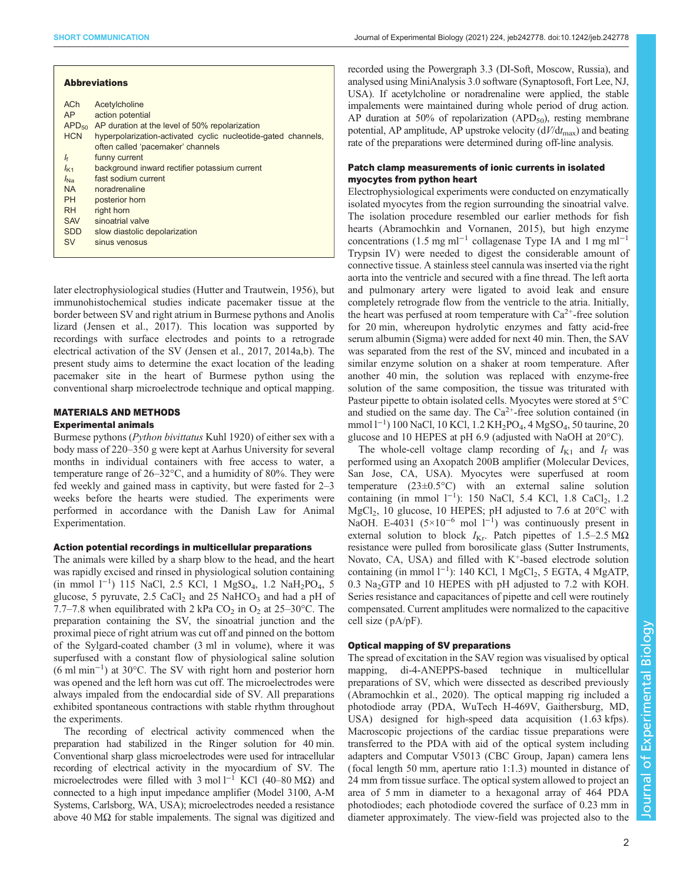| <b>Abbreviations</b> |                                                                                                    |
|----------------------|----------------------------------------------------------------------------------------------------|
| <b>ACh</b><br>AP     | Acetylcholine<br>action potential                                                                  |
| APD <sub>50</sub>    | AP duration at the level of 50% repolarization                                                     |
| <b>HCN</b>           | hyperpolarization-activated cyclic nucleotide-gated channels,<br>often called 'pacemaker' channels |
| If                   | funny current                                                                                      |
| $I_{\text{K1}}$      | background inward rectifier potassium current                                                      |
| $\int_{N_a}$         | fast sodium current                                                                                |
| <b>NA</b>            | noradrenaline                                                                                      |
| <b>PH</b>            | posterior horn                                                                                     |
| <b>RH</b>            | right horn                                                                                         |
| <b>SAV</b>           | sinoatrial valve                                                                                   |
| <b>SDD</b>           | slow diastolic depolarization                                                                      |
| <b>SV</b>            | sinus venosus                                                                                      |

later electrophysiological studies [\(Hutter and Trautwein, 1956](#page-5-0)), but immunohistochemical studies indicate pacemaker tissue at the border between SV and right atrium in Burmese pythons and Anolis lizard [\(Jensen et al., 2017\)](#page-5-0). This location was supported by recordings with surface electrodes and points to a retrograde electrical activation of the SV [\(Jensen et al., 2017, 2014a,b\)](#page-5-0). The present study aims to determine the exact location of the leading pacemaker site in the heart of Burmese python using the conventional sharp microelectrode technique and optical mapping.

# MATERIALS AND METHODS

#### Experimental animals

Burmese pythons (Python bivittatus Kuhl 1920) of either sex with a body mass of 220–350 g were kept at Aarhus University for several months in individual containers with free access to water, a temperature range of 26–32°C, and a humidity of 80%. They were fed weekly and gained mass in captivity, but were fasted for 2–3 weeks before the hearts were studied. The experiments were performed in accordance with the Danish Law for Animal Experimentation.

#### Action potential recordings in multicellular preparations

The animals were killed by a sharp blow to the head, and the heart was rapidly excised and rinsed in physiological solution containing (in mmol l−<sup>1</sup> ) 115 NaCl, 2.5 KCl, 1 MgSO4, 1.2 NaH2PO4, 5 glucose, 5 pyruvate, 2.5 CaCl<sub>2</sub> and 25 NaHCO<sub>3</sub> and had a pH of 7.7–7.8 when equilibrated with 2 kPa  $CO<sub>2</sub>$  in  $O<sub>2</sub>$  at 25–30°C. The preparation containing the SV, the sinoatrial junction and the proximal piece of right atrium was cut off and pinned on the bottom of the Sylgard-coated chamber (3 ml in volume), where it was superfused with a constant flow of physiological saline solution (6 ml min−<sup>1</sup> ) at 30°C. The SV with right horn and posterior horn was opened and the left horn was cut off. The microelectrodes were always impaled from the endocardial side of SV. All preparations exhibited spontaneous contractions with stable rhythm throughout the experiments.

The recording of electrical activity commenced when the preparation had stabilized in the Ringer solution for 40 min. Conventional sharp glass microelectrodes were used for intracellular recording of electrical activity in the myocardium of SV. The microelectrodes were filled with 3 mol  $l^{-1}$  KCl (40–80 MΩ) and connected to a high input impedance amplifier (Model 3100, A-M Systems, Carlsborg, WA, USA); microelectrodes needed a resistance above 40 M $\Omega$  for stable impalements. The signal was digitized and recorded using the Powergraph 3.3 (DI-Soft, Moscow, Russia), and analysed using MiniAnalysis 3.0 software (Synaptosoft, Fort Lee, NJ, USA). If acetylcholine or noradrenaline were applied, the stable impalements were maintained during whole period of drug action. AP duration at 50% of repolarization (APD $_{50}$ ), resting membrane potential, AP amplitude, AP upstroke velocity  $(d/dt_{\text{max}})$  and beating rate of the preparations were determined during off-line analysis.

# Patch clamp measurements of ionic currents in isolated myocytes from python heart

Electrophysiological experiments were conducted on enzymatically isolated myocytes from the region surrounding the sinoatrial valve. The isolation procedure resembled our earlier methods for fish hearts ([Abramochkin and Vornanen, 2015\)](#page-5-0), but high enzyme concentrations (1.5 mg ml−<sup>1</sup> collagenase Type IA and 1 mg ml−<sup>1</sup> Trypsin IV) were needed to digest the considerable amount of connective tissue. A stainless steel cannula was inserted via the right aorta into the ventricle and secured with a fine thread. The left aorta and pulmonary artery were ligated to avoid leak and ensure completely retrograde flow from the ventricle to the atria. Initially, the heart was perfused at room temperature with  $Ca^{2+}$ -free solution for 20 min, whereupon hydrolytic enzymes and fatty acid-free serum albumin (Sigma) were added for next 40 min. Then, the SAV was separated from the rest of the SV, minced and incubated in a similar enzyme solution on a shaker at room temperature. After another 40 min, the solution was replaced with enzyme-free solution of the same composition, the tissue was triturated with Pasteur pipette to obtain isolated cells. Myocytes were stored at 5°C and studied on the same day. The  $Ca^{2+}$ -free solution contained (in mmol l<sup>-1</sup>) 100 NaCl, 10 KCl, 1.2 KH<sub>2</sub>PO<sub>4</sub>, 4 MgSO<sub>4</sub>, 50 taurine, 20 glucose and 10 HEPES at pH 6.9 (adjusted with NaOH at 20°C).

The whole-cell voltage clamp recording of  $I_{K1}$  and  $I_f$  was performed using an Axopatch 200B amplifier (Molecular Devices, San Jose, CA, USA). Myocytes were superfused at room temperature (23±0.5°C) with an external saline solution containing (in mmol  $1^{-1}$ ): 150 NaCl, 5.4 KCl, 1.8 CaCl<sub>2</sub>, 1.2  $MgCl<sub>2</sub>$ , 10 glucose, 10 HEPES; pH adjusted to 7.6 at 20 $^{\circ}$ C with NaOH. E-4031 ( $5 \times 10^{-6}$  mol  $1^{-1}$ ) was continuously present in external solution to block  $I_{\text{Kr}}$ . Patch pipettes of 1.5–2.5 M $\Omega$ resistance were pulled from borosilicate glass (Sutter Instruments, Novato, CA, USA) and filled with  $K^+$ -based electrode solution containing (in mmol  $1^{-1}$ ): 140 KCl, 1 MgCl<sub>2</sub>, 5 EGTA, 4 MgATP, 0.3 Na<sub>2</sub>GTP and 10 HEPES with pH adjusted to 7.2 with KOH. Series resistance and capacitances of pipette and cell were routinely compensated. Current amplitudes were normalized to the capacitive cell size ( pA/pF).

# Optical mapping of SV preparations

The spread of excitation in the SAV region was visualised by optical mapping, di-4-ANEPPS-based technique in multicellular preparations of SV, which were dissected as described previously [\(Abramochkin et al., 2020](#page-5-0)). The optical mapping rig included a photodiode array (PDA, WuTech H-469V, Gaithersburg, MD, USA) designed for high-speed data acquisition (1.63 kfps). Macroscopic projections of the cardiac tissue preparations were transferred to the PDA with aid of the optical system including adapters and Computar V5013 (CBC Group, Japan) camera lens (focal length 50 mm, aperture ratio 1:1.3) mounted in distance of 24 mm from tissue surface. The optical system allowed to project an area of 5 mm in diameter to a hexagonal array of 464 PDA photodiodes; each photodiode covered the surface of 0.23 mm in diameter approximately. The view-field was projected also to the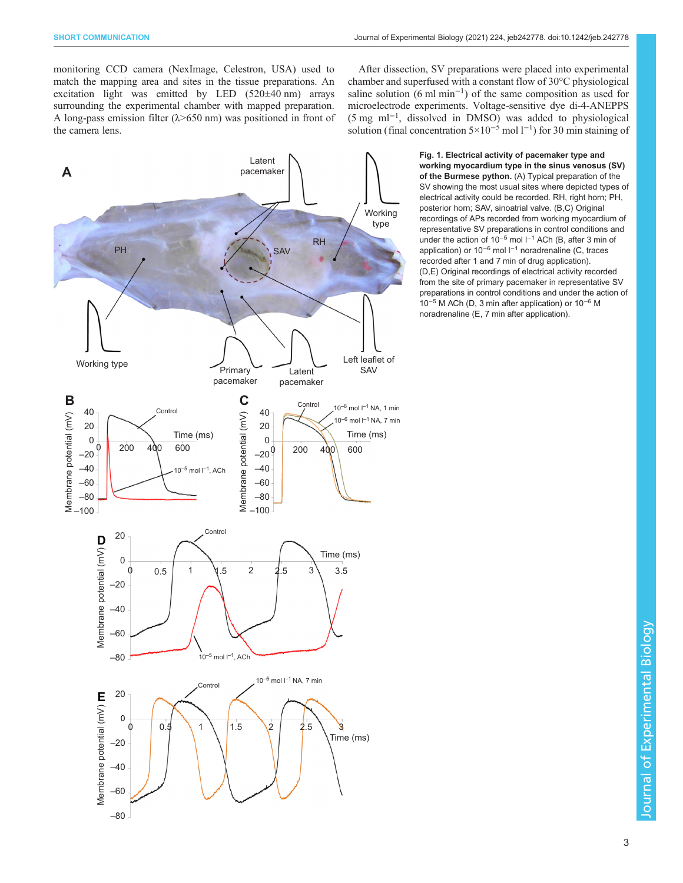<span id="page-2-0"></span>monitoring CCD camera (NexImage, Celestron, USA) used to match the mapping area and sites in the tissue preparations. An excitation light was emitted by LED (520±40 nm) arrays surrounding the experimental chamber with mapped preparation. A long-pass emission filter (λ>650 nm) was positioned in front of the camera lens.

Latent<br>pacemaker **A** pacemaker Working<br>type type **RH** Left leaflet of SAV Primary type Primary<br>pacemake I atent \_\_\_\_\_\_<br>romak pacemaker pacemaker **B C** Control 10<sup>-6</sup> mol  $I^{-1}$  NA, 1 min Control 40<br>20 40  $\sqrt{2}$ Membrane potential (mV)<br>
Membrane potential (mV)<br>  $-40$ <br>  $-80$ <br>  $-100$ Membrane potential (mV) 10<sup>–6</sup> mol l<sup>–1</sup> NA, 7 min<br>Time (ms)  $\overline{0}$  $\boldsymbol{0}$ Time (ms) Time (ms) ⊿ბი  $\overline{a}$  $-20$  $\overline{\phantom{0}}$  $\overline{1}$ <sup>600</sup> –20  $\begin{bmatrix} 1 & 1 \\ 1 & 1 \end{bmatrix}$  $-40$  $10^{-5}$  mol  $I^{-1}$ , ACh –60 –60 –60  $-100$  $-100 -$ Contro 20 Membrane potential (mV)  $\blacksquare$ Membrane potential (mV)  $\overline{\phantom{a}}$ ¢ 3  $\begin{bmatrix} 0 & 0 & 0 \\ 0 & 0 & 0 \\ 0 & 0 & 0 \end{bmatrix}$  .  $\begin{bmatrix} 0 & 0 & 0 \\ 0 & 0 & 0 \\ 0 & 0 & 0 \end{bmatrix}$  $10^{-5}$  mol  $I^{-1}$ , ACh –80  $10^{-6}$  mol  $I^{-1}$  NA, 7 min Control 20 Membrane potential (mV) **m** Membrane potential (mV) 0 0  $\overline{2}$ 1 0 1 0.5 1.5 2 2.5 3 Time (ms) –60 –80

After dissection, SV preparations were placed into experimental chamber and superfused with a constant flow of 30°C physiological saline solution (6 ml min<sup>-1</sup>) of the same composition as used for microelectrode experiments. Voltage-sensitive dye di-4-ANEPPS (5 mg ml−<sup>1</sup> , dissolved in DMSO) was added to physiological solution (final concentration  $5 \times 10^{-5}$  mol l<sup>-1</sup>) for 30 min staining of

> Fig. 1. Electrical activity of pacemaker type and working myocardium type in the sinus venosus (SV) of the Burmese python. (A) Typical preparation of the SV showing the most usual sites where depicted types of electrical activity could be recorded. RH, right horn; PH, posterior horn; SAV, sinoatrial valve. (B,C) Original recordings of APs recorded from working myocardium of representative SV preparations in control conditions and under the action of 10−<sup>5</sup> mol l−<sup>1</sup> ACh (B, after 3 min of application) or 10−<sup>6</sup> mol l−<sup>1</sup> noradrenaline (C, traces recorded after 1 and 7 min of drug application). (D,E) Original recordings of electrical activity recorded from the site of primary pacemaker in representative SV preparations in control conditions and under the action of 10−<sup>5</sup> M ACh (D, 3 min after application) or 10−<sup>6</sup> M noradrenaline (E, 7 min after application).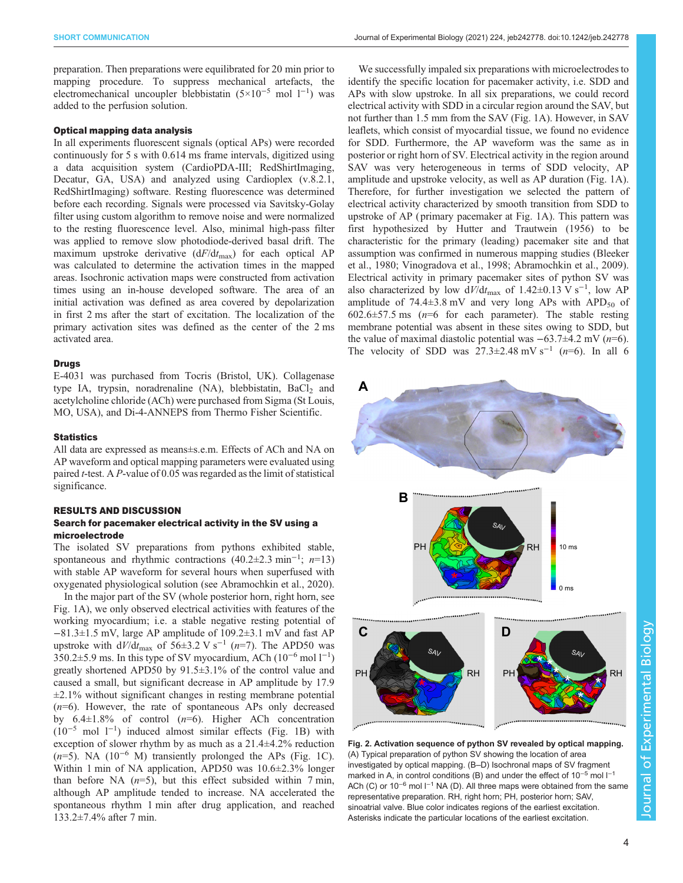<span id="page-3-0"></span>preparation. Then preparations were equilibrated for 20 min prior to mapping procedure. To suppress mechanical artefacts, the electromechanical uncoupler blebbistatin  $(5\times10^{-5} \text{ mol } 1^{-1})$  was added to the perfusion solution.

#### Optical mapping data analysis

In all experiments fluorescent signals (optical APs) were recorded continuously for 5 s with 0.614 ms frame intervals, digitized using a data acquisition system (CardioPDA-III; RedShirtImaging, Decatur, GA, USA) and analyzed using Cardioplex (v.8.2.1, RedShirtImaging) software. Resting fluorescence was determined before each recording. Signals were processed via Savitsky-Golay filter using custom algorithm to remove noise and were normalized to the resting fluorescence level. Also, minimal high-pass filter was applied to remove slow photodiode-derived basal drift. The maximum upstroke derivative  $(dF/dt_{\text{max}})$  for each optical AP was calculated to determine the activation times in the mapped areas. Isochronic activation maps were constructed from activation times using an in-house developed software. The area of an initial activation was defined as area covered by depolarization in first 2 ms after the start of excitation. The localization of the primary activation sites was defined as the center of the 2 ms activated area.

#### Drugs

E-4031 was purchased from Tocris (Bristol, UK). Collagenase type IA, trypsin, noradrenaline (NA), blebbistatin, BaCl<sub>2</sub> and acetylcholine chloride (ACh) were purchased from Sigma (St Louis, MO, USA), and Di-4-ANNEPS from Thermo Fisher Scientific.

#### **Statistics**

All data are expressed as means±s.e.m. Effects of ACh and NA on AP waveform and optical mapping parameters were evaluated using paired t-test. A P-value of 0.05 was regarded as the limit of statistical significance.

#### RESULTS AND DISCUSSION

#### Search for pacemaker electrical activity in the SV using a microelectrode

The isolated SV preparations from pythons exhibited stable, spontaneous and rhythmic contractions  $(40.2 \pm 2.3 \text{ min}^{-1}; n=13)$ with stable AP waveform for several hours when superfused with oxygenated physiological solution (see [Abramochkin et al., 2020\)](#page-5-0).

In the major part of the SV (whole posterior horn, right horn, see [Fig. 1](#page-2-0)A), we only observed electrical activities with features of the working myocardium; i.e. a stable negative resting potential of −81.3±1.5 mV, large AP amplitude of 109.2±3.1 mV and fast AP upstroke with  $dV/dt_{\text{max}}$  of 56±3.2 V s<sup>-1</sup> (n=7). The APD50 was  $350.2 \pm 5.9$  ms. In this type of SV myocardium, ACh ( $10^{-6}$  mol  $1^{-1}$ ) greatly shortened APD50 by 91.5±3.1% of the control value and caused a small, but significant decrease in AP amplitude by 17.9  $\pm$ 2.1% without significant changes in resting membrane potential  $(n=6)$ . However, the rate of spontaneous APs only decreased by  $6.4 \pm 1.8\%$  of control  $(n=6)$ . Higher ACh concentration  $(10^{-5} \text{ mol } l^{-1})$  induced almost similar effects [\(Fig. 1](#page-2-0)B) with exception of slower rhythm by as much as a 21.4±4.2% reduction  $(n=5)$ . NA (10<sup>-6</sup> M) transiently prolonged the APs ([Fig. 1](#page-2-0)C). Within 1 min of NA application, APD50 was 10.6±2.3% longer than before NA  $(n=5)$ , but this effect subsided within 7 min, although AP amplitude tended to increase. NA accelerated the spontaneous rhythm 1 min after drug application, and reached 133.2±7.4% after 7 min.

We successfully impaled six preparations with microelectrodes to identify the specific location for pacemaker activity, i.e. SDD and APs with slow upstroke. In all six preparations, we could record electrical activity with SDD in a circular region around the SAV, but not further than 1.5 mm from the SAV [\(Fig. 1](#page-2-0)A). However, in SAV leaflets, which consist of myocardial tissue, we found no evidence for SDD. Furthermore, the AP waveform was the same as in posterior or right horn of SV. Electrical activity in the region around SAV was very heterogeneous in terms of SDD velocity, AP amplitude and upstroke velocity, as well as AP duration [\(Fig. 1A](#page-2-0)). Therefore, for further investigation we selected the pattern of electrical activity characterized by smooth transition from SDD to upstroke of AP ( primary pacemaker at [Fig. 1](#page-2-0)A). This pattern was first hypothesized by [Hutter and Trautwein \(1956\)](#page-5-0) to be characteristic for the primary (leading) pacemaker site and that assumption was confirmed in numerous mapping studies ([Bleeker](#page-5-0) [et al., 1980](#page-5-0); [Vinogradova et al., 1998](#page-6-0); [Abramochkin et al., 2009\)](#page-5-0). Electrical activity in primary pacemaker sites of python SV was also characterized by low  $dV/dt_{\text{max}}$  of 1.42±0.13 V s<sup>-1</sup>, low AP amplitude of  $74.4\pm3.8$  mV and very long APs with APD<sub>50</sub> of  $602.6 \pm 57.5$  ms ( $n=6$  for each parameter). The stable resting membrane potential was absent in these sites owing to SDD, but the value of maximal diastolic potential was  $-63.7\pm4.2$  mV (n=6). The velocity of SDD was  $27.3\pm2.48$  mV s<sup>-1</sup> (n=6). In all 6



Fig. 2. Activation sequence of python SV revealed by optical mapping. (A) Typical preparation of python SV showing the location of area investigated by optical mapping. (B–D) Isochronal maps of SV fragment marked in A, in control conditions (B) and under the effect of 10<sup>-5</sup> mol l<sup>-1</sup> ACh (C) or 10<sup>-6</sup> mol l<sup>-1</sup> NA (D). All three maps were obtained from the same representative preparation. RH, right horn; PH, posterior horn; SAV, sinoatrial valve. Blue color indicates regions of the earliest excitation. Asterisks indicate the particular locations of the earliest excitation.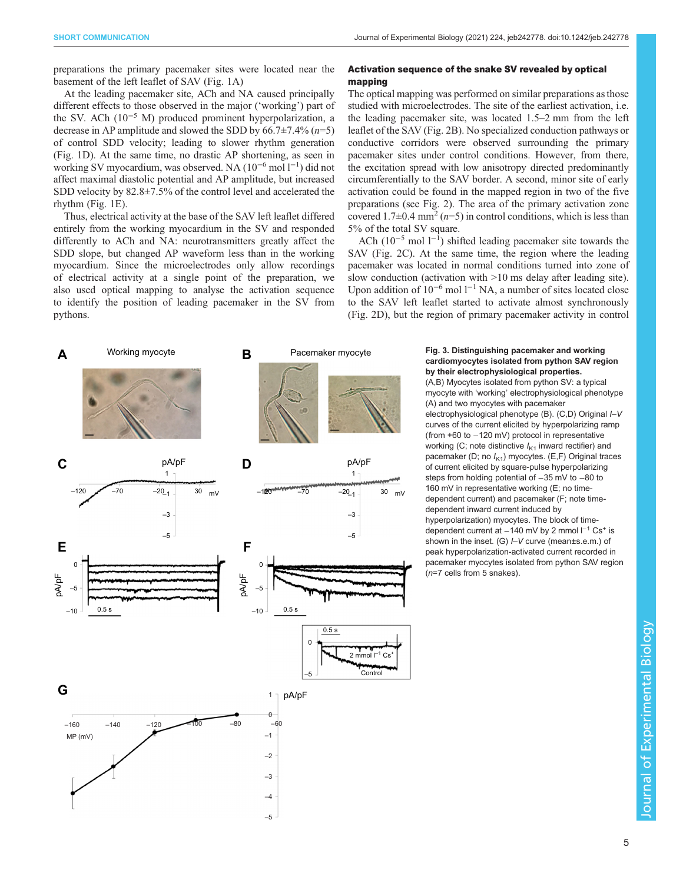<span id="page-4-0"></span>preparations the primary pacemaker sites were located near the basement of the left leaflet of SAV ([Fig. 1](#page-2-0)A)

At the leading pacemaker site, ACh and NA caused principally different effects to those observed in the major ('working') part of the SV. ACh (10−<sup>5</sup> M) produced prominent hyperpolarization, a decrease in AP amplitude and slowed the SDD by  $66.7\pm7.4\%$   $(n=5)$ of control SDD velocity; leading to slower rhythm generation [\(Fig. 1D](#page-2-0)). At the same time, no drastic AP shortening, as seen in working SV myocardium, was observed. NA (10−<sup>6</sup> mol l−<sup>1</sup> ) did not affect maximal diastolic potential and AP amplitude, but increased SDD velocity by 82.8±7.5% of the control level and accelerated the rhythm ([Fig. 1](#page-2-0)E).

Thus, electrical activity at the base of the SAV left leaflet differed entirely from the working myocardium in the SV and responded differently to ACh and NA: neurotransmitters greatly affect the SDD slope, but changed AP waveform less than in the working myocardium. Since the microelectrodes only allow recordings of electrical activity at a single point of the preparation, we also used optical mapping to analyse the activation sequence to identify the position of leading pacemaker in the SV from pythons.

# Activation sequence of the snake SV revealed by optical mapping

The optical mapping was performed on similar preparations as those studied with microelectrodes. The site of the earliest activation, i.e. the leading pacemaker site, was located 1.5–2 mm from the left leaflet of the SAV [\(Fig. 2B](#page-3-0)). No specialized conduction pathways or conductive corridors were observed surrounding the primary pacemaker sites under control conditions. However, from there, the excitation spread with low anisotropy directed predominantly circumferentially to the SAV border. A second, minor site of early activation could be found in the mapped region in two of the five preparations (see [Fig. 2](#page-3-0)). The area of the primary activation zone covered 1.7 $\pm$ 0.4 mm<sup>2</sup> ( $n=5$ ) in control conditions, which is less than 5% of the total SV square.

ACh ( $10^{-5}$  mol  $1^{-1}$ ) shifted leading pacemaker site towards the SAV ([Fig. 2C](#page-3-0)). At the same time, the region where the leading pacemaker was located in normal conditions turned into zone of slow conduction (activation with >10 ms delay after leading site). Upon addition of 10<sup>-6</sup> mol l<sup>-1</sup> NA, a number of sites located close to the SAV left leaflet started to activate almost synchronously [\(Fig. 2D](#page-3-0)), but the region of primary pacemaker activity in control



# Pacemaker myocyte Fig. 3. Distinguishing pacemaker and working cardiomyocytes isolated from python SAV region by their electrophysiological properties.

(A,B) Myocytes isolated from python SV: a typical myocyte with 'working' electrophysiological phenotype (A) and two myocytes with pacemaker electrophysiological phenotype (B). (C,D) Original  $\mu$ V curves of the current elicited by hyperpolarizing ramp (from +60 to −120 mV) protocol in representative working (C; note distinctive  $I_{K1}$  inward rectifier) and pacemaker (D; no  $I_{K1}$ ) myocytes. (E,F) Original traces of current elicited by square-pulse hyperpolarizing steps from holding potential of -35 mV to -80 to 160 mV in representative working (E; no timedependent current) and pacemaker (F; note timedependent inward current induced by hyperpolarization) myocytes. The block of timedependent current at −140 mV by 2 mmol l<sup>-1</sup> Cs<sup>+</sup> is shown in the inset. (G)  $\mu$  curve (mean±s.e.m.) of peak hyperpolarization-activated current recorded in pacemaker myocytes isolated from python SAV region (n=7 cells from 5 snakes).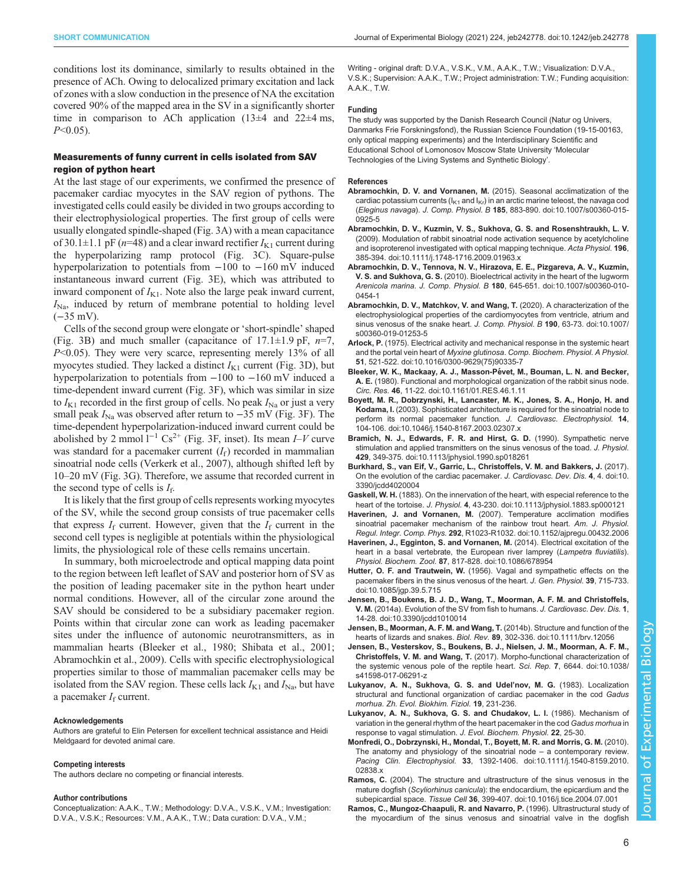<span id="page-5-0"></span>conditions lost its dominance, similarly to results obtained in the presence of ACh. Owing to delocalized primary excitation and lack of zones with a slow conduction in the presence of NA the excitation covered 90% of the mapped area in the SV in a significantly shorter time in comparison to ACh application  $(13\pm4)$  and  $22\pm4$  ms,  $P<0.05$ ).

#### Measurements of funny current in cells isolated from SAV region of python heart

At the last stage of our experiments, we confirmed the presence of pacemaker cardiac myocytes in the SAV region of pythons. The investigated cells could easily be divided in two groups according to their electrophysiological properties. The first group of cells were usually elongated spindle-shaped ([Fig. 3](#page-4-0)A) with a mean capacitance of 30.1 $\pm$ 1.1 pF (n=48) and a clear inward rectifier  $I_{K1}$  current during the hyperpolarizing ramp protocol ([Fig. 3](#page-4-0)C). Square-pulse hyperpolarization to potentials from −100 to −160 mV induced instantaneous inward current ([Fig. 3](#page-4-0)E), which was attributed to inward component of  $I_{K1}$ . Note also the large peak inward current,  $I_{\text{Na}}$ , induced by return of membrane potential to holding level (−35 mV).

Cells of the second group were elongate or 'short-spindle' shaped [\(Fig. 3B](#page-4-0)) and much smaller (capacitance of  $17.1 \pm 1.9$  pF,  $n=7$ , P<0.05). They were very scarce, representing merely 13% of all myocytes studied. They lacked a distinct  $I_{K1}$  current ([Fig. 3](#page-4-0)D), but hyperpolarization to potentials from −100 to −160 mV induced a time-dependent inward current ([Fig. 3F](#page-4-0)), which was similar in size to  $I_{K1}$  recorded in the first group of cells. No peak  $I_{Na}$  or just a very small peak  $I_{\text{Na}}$  was observed after return to  $-35$  mV ([Fig. 3](#page-4-0)F). The time-dependent hyperpolarization-induced inward current could be abolished by 2 mmol l<sup>−1</sup> Cs<sup>2+</sup> [\(Fig. 3](#page-4-0)F, inset). Its mean *I–V* curve was standard for a pacemaker current  $(I_f)$  recorded in mammalian sinoatrial node cells ([Verkerk et al., 2007\)](#page-6-0), although shifted left by 10–20 mV [\(Fig. 3](#page-4-0)G). Therefore, we assume that recorded current in the second type of cells is  $I_f$ .

It is likely that the first group of cells represents working myocytes of the SV, while the second group consists of true pacemaker cells that express  $I_f$  current. However, given that the  $I_f$  current in the second cell types is negligible at potentials within the physiological limits, the physiological role of these cells remains uncertain.

In summary, both microelectrode and optical mapping data point to the region between left leaflet of SAV and posterior horn of SV as the position of leading pacemaker site in the python heart under normal conditions. However, all of the circular zone around the SAV should be considered to be a subsidiary pacemaker region. Points within that circular zone can work as leading pacemaker sites under the influence of autonomic neurotransmitters, as in mammalian hearts (Bleeker et al., 1980; [Shibata et al., 2001](#page-6-0); Abramochkin et al., 2009). Cells with specific electrophysiological properties similar to those of mammalian pacemaker cells may be isolated from the SAV region. These cells lack  $I_{K1}$  and  $I_{Na}$ , but have a pacemaker  $I_f$  current.

#### Acknowledgements

Authors are grateful to Elin Petersen for excellent technical assistance and Heidi Meldgaard for devoted animal care.

#### Competing interests

The authors declare no competing or financial interests.

#### Author contributions

Conceptualization: A.A.K., T.W.; Methodology: D.V.A., V.S.K., V.M.; Investigation: D.V.A., V.S.K.; Resources: V.M., A.A.K., T.W.; Data curation: D.V.A., V.M.;

Writing - original draft: D.V.A., V.S.K., V.M., A.A.K., T.W.; Visualization: D.V.A., V.S.K.; Supervision: A.A.K., T.W.; Project administration: T.W.; Funding acquisition: A.A.K., T.W.

#### Funding

The study was supported by the Danish Research Council (Natur og Univers, Danmarks Frie Forskningsfond), the Russian Science Foundation (19-15-00163, only optical mapping experiments) and the Interdisciplinary Scientific and Educational School of Lomonosov Moscow State University 'Molecular Technologies of the Living Systems and Synthetic Biology'.

#### References

- [Abramochkin, D. V. and Vornanen, M.](https://doi.org/10.1007/s00360-015-0925-5) (2015). Seasonal acclimatization of the cardiac potassium currents ( $I_{K1}$  and  $I_{Kr}$ ) in an arctic marine teleost, the navaga cod (Eleginus navaga). J. Comp. Physiol. B 185[, 883-890. doi:10.1007/s00360-015-](https://doi.org/10.1007/s00360-015-0925-5) [0925-5](https://doi.org/10.1007/s00360-015-0925-5)
- [Abramochkin, D. V., Kuzmin, V. S., Sukhova, G. S. and Rosenshtraukh, L. V.](https://doi.org/10.1111/j.1748-1716.2009.01963.x) [\(2009\). Modulation of rabbit sinoatrial node activation sequence by acetylcholine](https://doi.org/10.1111/j.1748-1716.2009.01963.x) [and isoproterenol investigated with optical mapping technique.](https://doi.org/10.1111/j.1748-1716.2009.01963.x) Acta Physiol. 196, [385-394. doi:10.1111/j.1748-1716.2009.01963.x](https://doi.org/10.1111/j.1748-1716.2009.01963.x)
- [Abramochkin, D. V., Tennova, N. V., Hirazova, E. E., Pizgareva, A. V., Kuzmin,](https://doi.org/10.1007/s00360-010-0454-1) V. S. and Sukhova, G. S. [\(2010\). Bioelectrical activity in the heart of the lugworm](https://doi.org/10.1007/s00360-010-0454-1) Arenicola marina. J. Comp. Physiol. B 180[, 645-651. doi:10.1007/s00360-010-](https://doi.org/10.1007/s00360-010-0454-1) [0454-1](https://doi.org/10.1007/s00360-010-0454-1)
- [Abramochkin, D. V., Matchkov, V. and Wang, T.](https://doi.org/10.1007/s00360-019-01253-5) (2020). A characterization of the [electrophysiological properties of the cardiomyocytes from ventricle, atrium and](https://doi.org/10.1007/s00360-019-01253-5) [sinus venosus of the snake heart.](https://doi.org/10.1007/s00360-019-01253-5) J. Comp. Physiol. B 190, 63-73. doi:10.1007/ [s00360-019-01253-5](https://doi.org/10.1007/s00360-019-01253-5)
- Arlock, P. [\(1975\). Electrical activity and mechanical response in the systemic heart](https://doi.org/10.1016/0300-9629(75)90335-7) and the portal vein heart of Myxine glutinosa. [Comp. Biochem. Physiol. A Physiol.](https://doi.org/10.1016/0300-9629(75)90335-7) 51[, 521-522. doi:10.1016/0300-9629\(75\)90335-7](https://doi.org/10.1016/0300-9629(75)90335-7)
- Bleeker, W. K., Mackaay, A. J., Masson-Pévet, M., Bouman, L. N. and Becker, A. E. [\(1980\). Functional and morphological organization of the rabbit sinus node.](https://doi.org/10.1161/01.RES.46.1.11) Circ. Res. 46[, 11-22. doi:10.1161/01.RES.46.1.11](https://doi.org/10.1161/01.RES.46.1.11)
- [Boyett, M. R., Dobrzynski, H., Lancaster, M. K., Jones, S. A., Honjo, H. and](https://doi.org/10.1046/j.1540-8167.2003.02307.x) Kodama, I. [\(2003\). Sophisticated architecture is required for the sinoatrial node to](https://doi.org/10.1046/j.1540-8167.2003.02307.x) [perform its normal pacemaker function](https://doi.org/10.1046/j.1540-8167.2003.02307.x). J. Cardiovasc. Electrophysiol. 14, [104-106. doi:10.1046/j.1540-8167.2003.02307.x](https://doi.org/10.1046/j.1540-8167.2003.02307.x)
- [Bramich, N. J., Edwards, F. R. and Hirst, G. D.](https://doi.org/10.1113/jphysiol.1990.sp018261) (1990). Sympathetic nerve [stimulation and applied transmitters on the sinus venosus of the toad.](https://doi.org/10.1113/jphysiol.1990.sp018261) J. Physiol. 429[, 349-375. doi:10.1113/jphysiol.1990.sp018261](https://doi.org/10.1113/jphysiol.1990.sp018261)
- [Burkhard, S., van Eif, V., Garric, L., Christoffels, V. M. and Bakkers, J.](https://doi.org/10.3390/jcdd4020004) (2017). [On the evolution of the cardiac pacemaker.](https://doi.org/10.3390/jcdd4020004) J. Cardiovasc. Dev. Dis. 4, 4. doi:10. [3390/jcdd4020004](https://doi.org/10.3390/jcdd4020004)
- Gaskell, W. H. [\(1883\). On the innervation of the heart, with especial reference to the](https://doi.org/10.1113/jphysiol.1883.sp000121) heart of the tortoise. J. Physiol. 4[, 43-230. doi:10.1113/jphysiol.1883.sp000121](https://doi.org/10.1113/jphysiol.1883.sp000121)
- Haverinen, J. and Vornanen, M. [\(2007\). Temperature acclimation modifies](https://doi.org/10.1152/ajpregu.00432.2006) [sinoatrial pacemaker mechanism of the rainbow trout heart.](https://doi.org/10.1152/ajpregu.00432.2006) Am. J. Physiol. Regul. Integr. Comp. Phys. 292[, R1023-R1032. doi:10.1152/ajpregu.00432.2006](https://doi.org/10.1152/ajpregu.00432.2006)
- [Haverinen, J., Egginton, S. and Vornanen, M.](https://doi.org/10.1086/678954) (2014). Electrical excitation of the [heart in a basal vertebrate, the European river lamprey \(](https://doi.org/10.1086/678954)Lampetra fluviatilis). Physiol. Biochem. Zool. 87[, 817-828. doi:10.1086/678954](https://doi.org/10.1086/678954)
- Hutter, O. F. and Trautwein, W. [\(1956\). Vagal and sympathetic effects on the](https://doi.org/10.1085/jgp.39.5.715) [pacemaker fibers in the sinus venosus of the heart.](https://doi.org/10.1085/jgp.39.5.715) J. Gen. Physiol. 39, 715-733. [doi:10.1085/jgp.39.5.715](https://doi.org/10.1085/jgp.39.5.715)
- [Jensen, B., Boukens, B. J. D., Wang, T., Moorman, A. F. M. and Christoffels,](https://doi.org/10.3390/jcdd1010014) V. M. [\(2014a\). Evolution of the SV from fish to humans.](https://doi.org/10.3390/jcdd1010014) J. Cardiovasc. Dev. Dis. 1, [14-28. doi:10.3390/jcdd1010014](https://doi.org/10.3390/jcdd1010014)
- [Jensen, B., Moorman, A. F. M. and Wang, T.](https://doi.org/10.1111/brv.12056) (2014b). Structure and function of the hearts of lizards and snakes. Biol. Rev. 89[, 302-336. doi:10.1111/brv.12056](https://doi.org/10.1111/brv.12056)
- [Jensen, B., Vesterskov, S., Boukens, B. J., Nielsen, J. M., Moorman, A. F. M.,](https://doi.org/10.1038/s41598-017-06291-z) Christoffels, V. M. and Wang, T. [\(2017\). Morpho-functional characterization of](https://doi.org/10.1038/s41598-017-06291-z) [the systemic venous pole of the reptile heart.](https://doi.org/10.1038/s41598-017-06291-z) Sci. Rep. 7, 6644. doi:10.1038/ [s41598-017-06291-z](https://doi.org/10.1038/s41598-017-06291-z)
- Lukyanov, A. N., Sukhova, G. S. and Udel'nov, M. G. (1983). Localization structural and functional organization of cardiac pacemaker in the cod Gadus morhua. Zh. Evol. Biokhim. Fiziol. 19, 231-236.
- Lukyanov, A. N., Sukhova, G. S. and Chudakov, L. I. (1986). Mechanism of variation in the general rhythm of the heart pacemaker in the cod Gadus morhua in response to vagal stimulation. J. Evol. Biochem. Physiol. 22, 25-30.
- [Monfredi, O., Dobrzynski, H., Mondal, T., Boyett, M. R. and Morris, G. M.](https://doi.org/10.1111/j.1540-8159.2010.02838.x) (2010). [The anatomy and physiology of the sinoatrial node](https://doi.org/10.1111/j.1540-8159.2010.02838.x) – a contemporary review. Pacing Clin. Electrophysiol. 33[, 1392-1406. doi:10.1111/j.1540-8159.2010.](https://doi.org/10.1111/j.1540-8159.2010.02838.x) 02838.
- Ramos, C. [\(2004\). The structure and ultrastructure of the sinus venosus in the](https://doi.org/10.1016/j.tice.2004.07.001) mature dogfish (Scyliorhinus canicula[\): the endocardium, the epicardium and the](https://doi.org/10.1016/j.tice.2004.07.001) subepicardial space. Tissue Cell 36[, 399-407. doi:10.1016/j.tice.2004.07.001](https://doi.org/10.1016/j.tice.2004.07.001)
- [Ramos, C., Mungoz-Chaapuli, R. and Navarro, P.](https://doi.org/10.1111/j.1469-7998.1996.tb05418.x) (1996). Ultrastructural study of [the myocardium of the sinus venosus and sinoatrial valve in the dogfish](https://doi.org/10.1111/j.1469-7998.1996.tb05418.x)